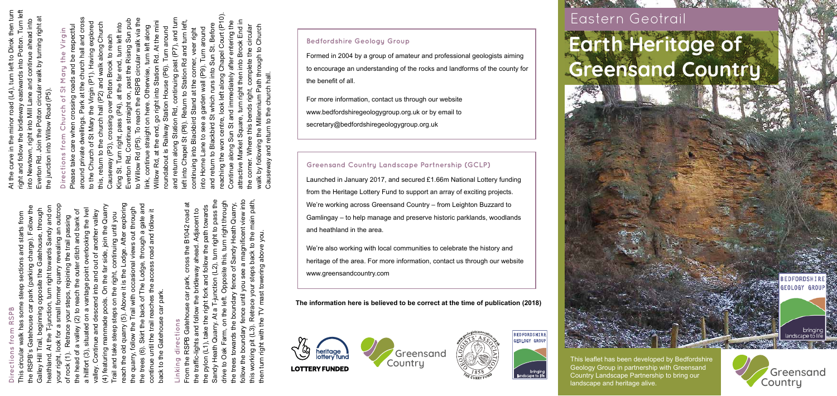#### **Bedfordshire Geology Group**

Formed in 2004 by a group of amateur and professional geologists aiming to encourage an understanding of the rocks and landforms of the county for the benefit of all.

For more information, contact us through our website www.bedfordshiregeologygroup.org.uk or by email to secretary@bedfordshiregeologygroup.org.uk

#### **Greensand Country Landscape Partnership (GCLP)**

Launched in January 2017, and secured £1.66m National Lottery funding from the Heritage Lottery Fund to support an array of exciting projects. We're working across Greensand Country – from Leighton Buzzard to Gamlingay – to help manage and preserve historic parklands, woodlands and heathland in the area.

We're also working with local communities to celebrate the history and heritage of the area. For more information, contact us through our website www.greensandcountry.com

reach the old quarry (5). Above it is the Lodge. After exploring your right, look for a small former quarry revealing an outcrop the trees (6). Skirt the back of The Lodge, through a gate and (4) featuring manmade pools. On the far side, join the Quarry the RSPB's Gatehouse car park (parking charge). Follow the heathland. At the T-junction, turn right towards Sandy and on an outcrop the quarry, follow the Trail with occasional views out through a hillfort (3), situated on a vantage point overlooking the Ivel Galley Hill Trail, beginning opposite the Gatehouse, through the head of a valley (2) to reach the outer ditch and bank of continue until the trail reaches the access road and follow it rlooking the Ivel valley. Continue and descend into and out of another valley ৳ access road and follow it This circular walk has some steep sections and starts from another valley Trail and take steep steps on the right, continuing until you After explori out through throug join the Qua passing of rock (1). Retrace your steps, rejoining the trail passing uing until you of The Lodge, through a gate a and bank  $\overline{\overline{a}}$ odge. đ nd out  $\frac{1}{5}$ Above it is the ight, until the trail reaches the Continue and descend into δ on the back to the Gatehouse car park. steps with (6). Skirt the back  $\overline{a}$  $\overline{\overline{a}}$ a<br>Ir situated on ି  $\mathbf \omega$ ace<br>R steep Gatehou each the old quarry **MOIIO** rail and take of a featuring  $\widehat{\odot}$ quarry, t ack to the  $rock(1)$ lliH vəlle le trees continue head athlan hillfort alley. G)

# **Directions from RSPB**

### **Linking directions** dire inking

continuing past (P7), and tu

Station Rd and turn le

Turn around

oundabout is Railway Station House (P6).

along Station Rd,

nd return

(P8).

Chapel S

eft into

At the m

Station Rd.

 $int$ 

go right i

Villow Rd, at the end,

straight on here.

ink, continue

o Willow Rd (P5).

verton Rd

Chapel Court (P

along

centre.

ontinue paring

then into Brook End

entering

after

circula

the

omplete

ends right,

c

thic

Where

around

Turn i Sun<sup>3</sup>

garden wall (P9). qui sun

 $\boldsymbol{\sigma}$ 

ane to

nto Horne

veer right

corner.

Return to Stati<br>d Stand at the c

ontinuing into Blackbird

Befor

follow the boundary fence until you see a magnificent view into this working pit (L3). Retrace your steps back to the main path, Sandy Heath Quarry. At a T-junction (L2), turn right to pass the drive to Oak Farm, on the left. Opposite this, turn right through ohil we From the RSPB Gatehouse car park, cross the B1042 road at the trees towards the boundary fence of Sandy Heath Quarry, main path upno.n cross the B1042 road at Adjacent to<br>path towards the pylon (L1), take the right fork and follow the path towards the traffic-lights and follow the bridleway ahead. Adjacent to riant then turn right with the TV mast towering above you. to the bridleway ahead. back ക്ക<br>അ steps towerin your the ace<br>a follow RSPB Gateh and<sub>1</sub> Oak Farm. e traffic-lights orking pit rom the g

This leaflet has been developed by Bedfordshire Geology Group in partnership with Greensand Country Landscape Partnership to bring our landscape and heritage alive. Country Country Country Country Country Country Landscape to life Country Landscape Partnership to bring our Greensand Greensand Country Landscape to life Country Landscape Partnership to bring our Greensand Greensand

## Eastern Geotrail **Earth Heritage of Greensand Country**

**FOLOGY GROU** bringin

At the curve in the minor road (L4), turn left to Dirok then turn right and follow the bridleway eastwards into Potton. Turn left into Newtown, right into Mill Lane and continue ahead into Everton Rd. Join the Potton circular walk by turning right at

Potton. Turn left then tur

into

continue ahead into

ഉ

turning right

/alk

the junction into Willow Road (P5).

he junction into

 $\overline{10}$ 

**DEC**<br>No

Willow

 $(P5)$ 

Road

**Directions from Church of St Mary the Virgin** Please take care when crossing roads and be respectful around private dwellings. Park at the church hall and cross to the Church of St Mary the Virgin (P1). Having explored this, return to the church hall (P2) and walk along Church Causeway (P3), crossing over Potton Brook to reach King St. Turn right, pass (P4), at the far end, turn left into Everton Rd. Continue straight on, past the Rising Sun pub to Willow Rd (P5). To reach the RSPB circular walk via the link, continue straight on here. Otherwise, turn left along Willow Rd, at the end, go right into Station Rd. At the mini roundabout is Railway Station House (P6). Turn around and return along Station Rd, continuing past (P7), and turn left into Chapel St (P8). Return to Station Rd and turn left, continuing into Blackbird Stand at the corner, veer right into Horne Lane to see a garden wall (P9). Turn around and return to Blackbird St which runs into Sun St. Before reaching the won centre, look left along Chapel Court (P10). Continue along Sun St and immediately after entering the attractive Market Square, turn right then into Brook End in the corner. Where this bends right, complete the circular walk by following the Millennium Path through to Church

Church

fro

ction

Dire

lease prinare

ğ

Virgin (P1). Having explored

 $#e$ 

St Mary wellings.

Church of

o the

along Churcl

and

the church hall (P

iis, return to

to reach

Potton I

crossing over

(P3).

auseway

turn left into

end, **Brook**  $\frac{1}{a}$ 

ling St. Turn right, pass (P4), at the far

Sun pr

nue straight on, past the Rising Sun p<br>To reach the RSPB circular walk via

Otherwise, turn left along

church hall and cros

at the

Park

nrivate

e respectful

e Virgin

gry

Ξ

 $\frac{1}{5}$ 

Causeway and return to the church hall.

and I

vay.

λá

 $\mathsf{walk}$ ്ല

return to the

ch hall.

chun

following the Millennium Path through to Church





**BEDFORDSHIRE** EOLOGY GROUP





#### **The information here is believed to be correct at the time of publication (2018)**